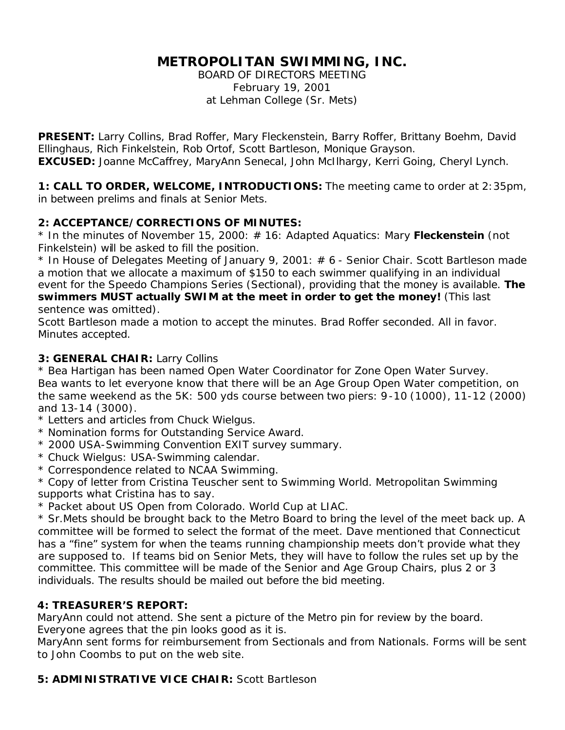# **METROPOLITAN SWIMMING, INC.**

BOARD OF DIRECTORS MEETING February 19, 2001 at Lehman College (Sr. Mets)

**PRESENT:** Larry Collins, Brad Roffer, Mary Fleckenstein, Barry Roffer, Brittany Boehm, David Ellinghaus, Rich Finkelstein, Rob Ortof, Scott Bartleson, Monique Grayson. **EXCUSED:** Joanne McCaffrey, MaryAnn Senecal, John McIlhargy, Kerri Going, Cheryl Lynch.

**1: CALL TO ORDER, WELCOME, INTRODUCTIONS:** The meeting came to order at 2:35pm, in between prelims and finals at Senior Mets.

## **2: ACCEPTANCE/CORRECTIONS OF MINUTES:**

\* In the minutes of November 15, 2000: # 16: Adapted Aquatics: Mary **Fleckenstein** (not Finkelstein) will be asked to fill the position.

\* In House of Delegates Meeting of January 9, 2001: # 6 - Senior Chair. Scott Bartleson made a motion that we allocate a maximum of \$150 to each swimmer qualifying in an individual event for the Speedo Champions Series (Sectional), providing that the money is available. **The swimmers MUST actually SWIM at the meet in order to get the money!** (This last sentence was omitted).

Scott Bartleson made a motion to accept the minutes. Brad Roffer seconded. All in favor. Minutes accepted.

#### **3: GENERAL CHAIR:** Larry Collins

\* Bea Hartigan has been named Open Water Coordinator for Zone Open Water Survey. Bea wants to let everyone know that there will be an Age Group Open Water competition, on the same weekend as the 5K: 500 yds course between two piers: 9-10 (1000), 11-12 (2000) and 13-14 (3000).

- \* Letters and articles from Chuck Wielgus.
- \* Nomination forms for Outstanding Service Award.
- \* 2000 USA-Swimming Convention EXIT survey summary.
- \* Chuck Wielgus: USA-Swimming calendar.
- \* Correspondence related to NCAA Swimming.

\* Copy of letter from Cristina Teuscher sent to Swimming World. Metropolitan Swimming supports what Cristina has to say.

\* Packet about US Open from Colorado. World Cup at LIAC.

\* Sr.Mets should be brought back to the Metro Board to bring the level of the meet back up. A committee will be formed to select the format of the meet. Dave mentioned that Connecticut has a "fine" system for when the teams running championship meets don't provide what they are supposed to. If teams bid on Senior Mets, they will have to follow the rules set up by the committee. This committee will be made of the Senior and Age Group Chairs, plus 2 or 3 individuals. The results should be mailed out before the bid meeting.

## **4: TREASURER'S REPORT:**

MaryAnn could not attend. She sent a picture of the Metro pin for review by the board. Everyone agrees that the pin looks good as it is.

MaryAnn sent forms for reimbursement from Sectionals and from Nationals. Forms will be sent to John Coombs to put on the web site.

## **5: ADMINISTRATIVE VICE CHAIR:** Scott Bartleson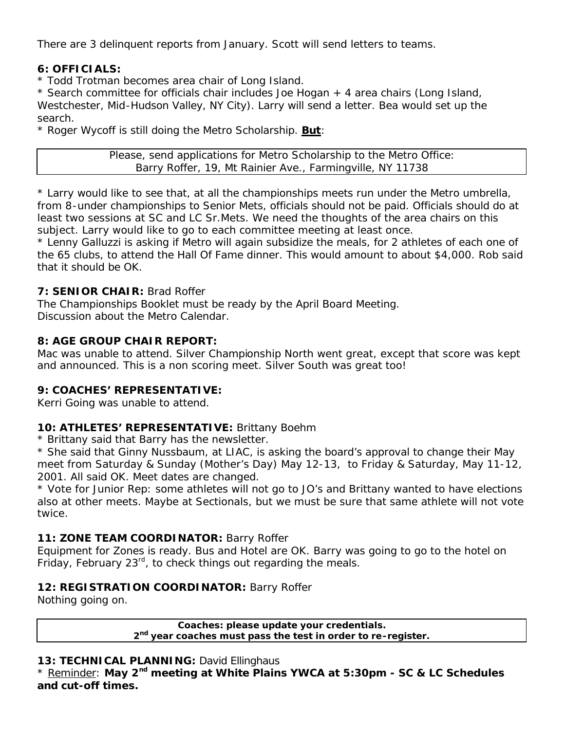There are 3 delinquent reports from January. Scott will send letters to teams.

## **6: OFFICIALS:**

\* Todd Trotman becomes area chair of Long Island.

\* Search committee for officials chair includes Joe Hogan + 4 area chairs (Long Island, Westchester, Mid-Hudson Valley, NY City). Larry will send a letter. Bea would set up the search.

\* Roger Wycoff is still doing the Metro Scholarship. **But**:

Please, send applications for Metro Scholarship to the Metro Office: Barry Roffer, 19, Mt Rainier Ave., Farmingville, NY 11738

\* Larry would like to see that, at all the championships meets run under the Metro umbrella, from 8-under championships to Senior Mets, officials should not be paid. Officials should do at least two sessions at SC and LC Sr.Mets. We need the thoughts of the area chairs on this subject. Larry would like to go to each committee meeting at least once.

\* Lenny Galluzzi is asking if Metro will again subsidize the meals, for 2 athletes of each one of the 65 clubs, to attend the Hall Of Fame dinner. This would amount to about \$4,000. Rob said that it should be OK.

#### **7: SENIOR CHAIR:** Brad Roffer

The Championships Booklet must be ready by the April Board Meeting. Discussion about the Metro Calendar.

#### **8: AGE GROUP CHAIR REPORT:**

Mac was unable to attend. Silver Championship North went great, except that score was kept and announced. This is a non scoring meet. Silver South was great too!

## **9: COACHES' REPRESENTATIVE:**

Kerri Going was unable to attend.

## **10: ATHLETES' REPRESENTATIVE:** Brittany Boehm

\* Brittany said that Barry has the newsletter.

\* She said that Ginny Nussbaum, at LIAC, is asking the board's approval to change their May meet from Saturday & Sunday (Mother's Day) May 12-13, to Friday & Saturday, May 11-12, 2001. All said OK. Meet dates are changed.

\* Vote for Junior Rep: some athletes will not go to JO's and Brittany wanted to have elections also at other meets. Maybe at Sectionals, but we must be sure that same athlete will not vote twice.

## **11: ZONE TEAM COORDINATOR:** Barry Roffer

Equipment for Zones is ready. Bus and Hotel are OK. Barry was going to go to the hotel on Friday, February  $23<sup>rd</sup>$ , to check things out regarding the meals.

## **12: REGISTRATION COORDINATOR:** Barry Roffer

Nothing going on.

**Coaches: please update your credentials. 2 nd year coaches must pass the test in order to re-register.**

#### 13: TECHNICAL PLANNING: David Ellinghaus

\* Reminder: **May 2nd meeting at White Plains YWCA at 5:30pm - SC & LC Schedules and cut-off times.**